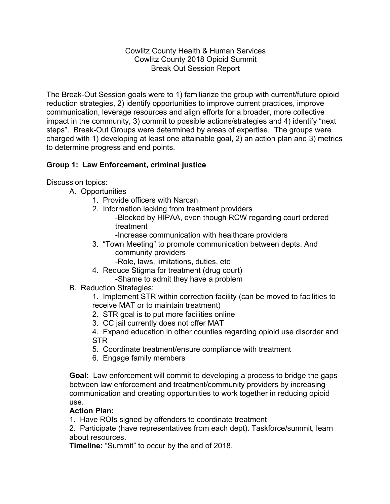Cowlitz County Health & Human Services Cowlitz County 2018 Opioid Summit Break Out Session Report

The Break-Out Session goals were to 1) familiarize the group with current/future opioid reduction strategies, 2) identify opportunities to improve current practices, improve communication, leverage resources and align efforts for a broader, more collective impact in the community, 3) commit to possible actions/strategies and 4) identify "next steps". Break-Out Groups were determined by areas of expertise. The groups were charged with 1) developing at least one attainable goal, 2) an action plan and 3) metrics to determine progress and end points.

# **Group 1: Law Enforcement, criminal justice**

Discussion topics:

- A. Opportunities
	- 1. Provide officers with Narcan
	- 2. Information lacking from treatment providers
		- -Blocked by HIPAA, even though RCW regarding court ordered treatment
			- -Increase communication with healthcare providers
	- 3. "Town Meeting" to promote communication between depts. And community providers
		- -Role, laws, limitations, duties, etc
	- 4. Reduce Stigma for treatment (drug court)
		- -Shame to admit they have a problem
- B. Reduction Strategies:

1. Implement STR within correction facility (can be moved to facilities to receive MAT or to maintain treatment)

- 2. STR goal is to put more facilities online
- 3. CC jail currently does not offer MAT
- 4. Expand education in other counties regarding opioid use disorder and STR
- 5. Coordinate treatment/ensure compliance with treatment
- 6. Engage family members

**Goal:** Law enforcement will commit to developing a process to bridge the gaps between law enforcement and treatment/community providers by increasing communication and creating opportunities to work together in reducing opioid use.

# **Action Plan:**

1. Have ROIs signed by offenders to coordinate treatment

2. Participate (have representatives from each dept). Taskforce/summit, learn about resources.

**Timeline:** "Summit" to occur by the end of 2018.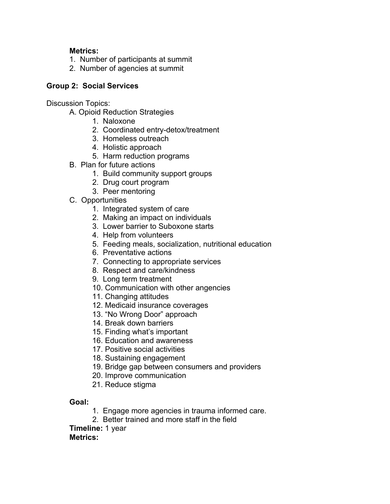# **Metrics:**

- 1. Number of participants at summit
- 2. Number of agencies at summit

## **Group 2: Social Services**

Discussion Topics:

- A. Opioid Reduction Strategies
	- 1. Naloxone
	- 2. Coordinated entry-detox/treatment
	- 3. Homeless outreach
	- 4. Holistic approach
	- 5. Harm reduction programs
- B. Plan for future actions
	- 1. Build community support groups
	- 2. Drug court program
	- 3. Peer mentoring
- C. Opportunities
	- 1. Integrated system of care
	- 2. Making an impact on individuals
	- 3. Lower barrier to Suboxone starts
	- 4. Help from volunteers
	- 5. Feeding meals, socialization, nutritional education
	- 6. Preventative actions
	- 7. Connecting to appropriate services
	- 8. Respect and care/kindness
	- 9. Long term treatment
	- 10. Communication with other angencies
	- 11. Changing attitudes
	- 12. Medicaid insurance coverages
	- 13. "No Wrong Door" approach
	- 14. Break down barriers
	- 15. Finding what's important
	- 16. Education and awareness
	- 17. Positive social activities
	- 18. Sustaining engagement
	- 19. Bridge gap between consumers and providers
	- 20. Improve communication
	- 21. Reduce stigma

**Goal:**

- 1. Engage more agencies in trauma informed care.
- 2. Better trained and more staff in the field

**Timeline:** 1 year

#### **Metrics:**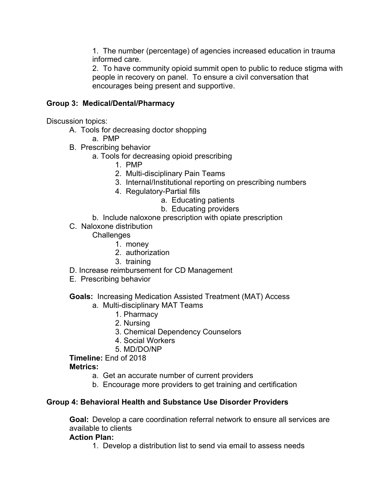1. The number (percentage) of agencies increased education in trauma informed care.

2. To have community opioid summit open to public to reduce stigma with people in recovery on panel. To ensure a civil conversation that encourages being present and supportive.

# **Group 3: Medical/Dental/Pharmacy**

Discussion topics:

- A. Tools for decreasing doctor shopping
	- a. PMP
- B. Prescribing behavior
	- a. Tools for decreasing opioid prescribing
		- 1. PMP
		- 2. Multi-disciplinary Pain Teams
		- 3. Internal/Institutional reporting on prescribing numbers
		- 4. Regulatory-Partial fills
			- a. Educating patients
			- b. Educating providers
	- b. Include naloxone prescription with opiate prescription
- C. Naloxone distribution

## **Challenges**

- 1. money
- 2. authorization
- 3. training
- D. Increase reimbursement for CD Management
- E. Prescribing behavior

#### **Goals:** Increasing Medication Assisted Treatment (MAT) Access

- a. Multi-disciplinary MAT Teams
	- 1. Pharmacy
	- 2. Nursing
	- 3. Chemical Dependency Counselors
	- 4. Social Workers
	- 5. MD/DO/NP

**Timeline:** End of 2018

**Metrics:**

- a. Get an accurate number of current providers
- b. Encourage more providers to get training and certification

#### **Group 4: Behavioral Health and Substance Use Disorder Providers**

**Goal:** Develop a care coordination referral network to ensure all services are available to clients

#### **Action Plan:**

1. Develop a distribution list to send via email to assess needs